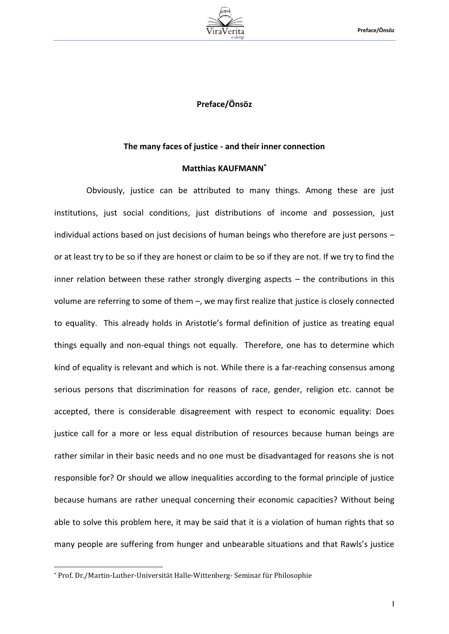

## **Preface/Önsöz**

## **The many faces of justice - and their inner connection**

## **Matthias KAUFMANN\***

Obviously, justice can be attributed to many things. Among these are just institutions, just social conditions, just distributions of income and possession, just individual actions based on just decisions of human beings who therefore are just persons – or at least try to be so if they are honest or claim to be so if they are not. If we try to find the inner relation between these rather strongly diverging aspects – the contributions in this volume are referring to some of them –, we may first realize that justice is closely connected to equality. This already holds in Aristotle's formal definition of justice as treating equal things equally and non-equal things not equally. Therefore, one has to determine which kind of equality is relevant and which is not. While there is a far-reaching consensus among serious persons that discrimination for reasons of race, gender, religion etc. cannot be accepted, there is considerable disagreement with respect to economic equality: Does justice call for a more or less equal distribution of resources because human beings are rather similar in their basic needs and no one must be disadvantaged for reasons she is not responsible for? Or should we allow inequalities according to the formal principle of justice because humans are rather unequal concerning their economic capacities? Without being able to solve this problem here, it may be said that it is a violation of human rights that so many people are suffering from hunger and unbearable situations and that Rawls's justice

l

<sup>\*</sup> Prof. Dr./Martin-Luther-Universität Halle-Wittenberg- Seminar für Philosophie